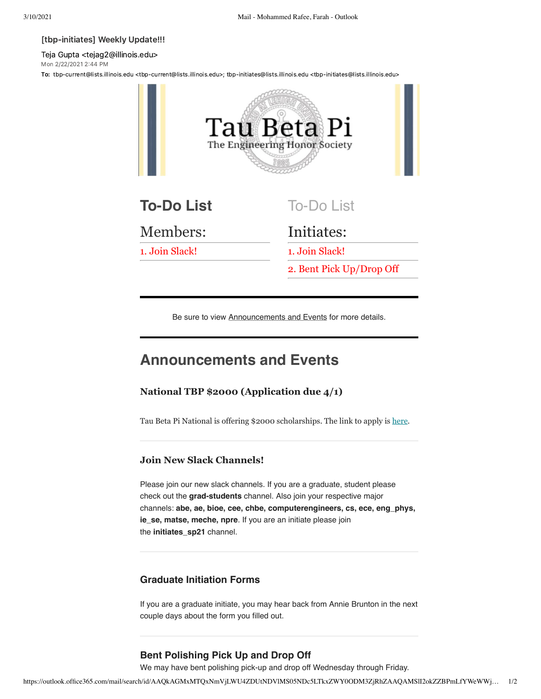#### [tbp-initiates] Weekly Update!!!

Teja Gupta <tejag2@illinois.edu> Mon 2/22/2021 2:44 PM

To: tbp-current@lists.illinois.edu <tbp-current@lists.illinois.edu>; tbp-initiates@lists.illinois.edu <tbp-initiates@lists.illinois.edu>



2. Bent Pick Up/Drop Off

Be sure to view Announcements and Events for more details.

# **Announcements and Events**

### **National TBP \$2000 (Application due 4/1)**

Tau Beta Pi National is offering \$2000 scholarships. The link to apply is [here.](https://urldefense.com/v3/__https://www.tbp.org/memb/ScholarshipInfoSheet.pdf__;!!DZ3fjg!pgcXe8O3SO4n2ekxxq7o_EZZK24wILtUuu9_A0HxFvHdGP2jyiYGtA3WUNICLIjz7HCsTLBHXAc$)

### **Join New Slack Channels!**

Please join our new slack channels. If you are a graduate, student please check out the **grad-students** channel. Also join your respective major channels: **abe, ae, bioe, cee, chbe, computerengineers, cs, ece, eng\_phys, ie\_se, matse, meche, npre**. If you are an initiate please join the **initiates\_sp21** channel.

### **Graduate Initiation Forms**

If you are a graduate initiate, you may hear back from Annie Brunton in the next couple days about the form you filled out.

## **Bent Polishing Pick Up and Drop Off**

We may have bent polishing pick-up and drop off Wednesday through Friday.